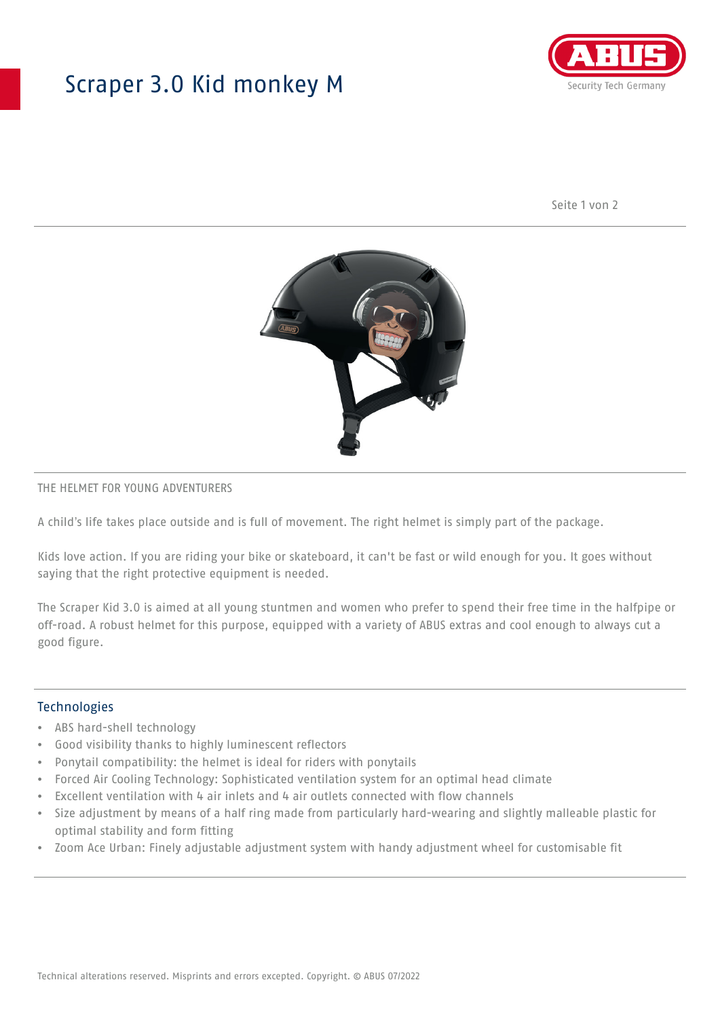## Scraper 3.0 Kid monkey M



Seite 1 von 2



#### THE HELMET FOR YOUNG ADVENTURERS

A child's life takes place outside and is full of movement. The right helmet is simply part of the package.

Kids love action. If you are riding your bike or skateboard, it can't be fast or wild enough for you. It goes without saying that the right protective equipment is needed.

The Scraper Kid 3.0 is aimed at all young stuntmen and women who prefer to spend their free time in the halfpipe or off-road. A robust helmet for this purpose, equipped with a variety of ABUS extras and cool enough to always cut a good figure.

#### Technologies

- ABS hard-shell technology
- Good visibility thanks to highly luminescent reflectors
- Ponytail compatibility: the helmet is ideal for riders with ponytails
- Forced Air Cooling Technology: Sophisticated ventilation system for an optimal head climate
- Excellent ventilation with 4 air inlets and 4 air outlets connected with flow channels
- Size adjustment by means of a half ring made from particularly hard-wearing and slightly malleable plastic for optimal stability and form fitting
- Zoom Ace Urban: Finely adjustable adjustment system with handy adjustment wheel for customisable fit